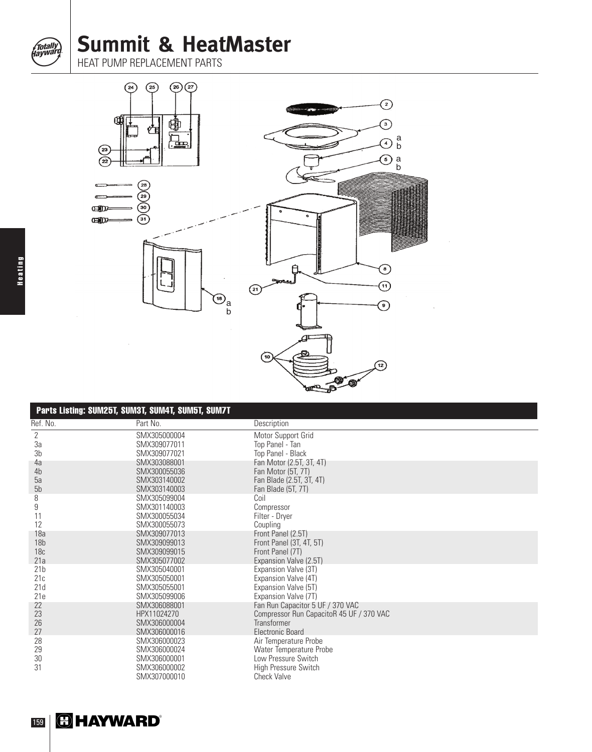**Summit & HeatMaster**

HEAT PUMP REPLACEMENT PARTS



| Parts Listing: SUM25T, SUM3T, SUM4T, SUM5T, SUM7T |                              |                                              |  |
|---------------------------------------------------|------------------------------|----------------------------------------------|--|
| Ref. No.                                          | Part No.                     | Description                                  |  |
| 2                                                 | SMX305000004                 | Motor Support Grid                           |  |
| 3a                                                | SMX309077011                 | Top Panel - Tan                              |  |
| 3b                                                | SMX309077021                 | Top Panel - Black                            |  |
| 4a                                                | SMX303088001                 | Fan Motor (2.5T, 3T, 4T)                     |  |
| 4b                                                | SMX300055036                 | Fan Motor (5T, 7T)                           |  |
| 5a                                                | SMX303140002                 | Fan Blade (2.5T, 3T, 4T)                     |  |
| 5b                                                | SMX303140003                 | Fan Blade (5T, 7T)                           |  |
| 8                                                 | SMX305099004                 | Coil                                         |  |
| 9                                                 | SMX301140003                 | Compressor                                   |  |
| 11                                                | SMX300055034                 | Filter - Dryer                               |  |
| 12                                                | SMX300055073                 | Coupling                                     |  |
| 18a                                               | SMX309077013                 | Front Panel (2.5T)                           |  |
| 18 <sub>b</sub>                                   | SMX309099013                 | Front Panel (3T, 4T, 5T)                     |  |
| 18 <sub>c</sub>                                   | SMX309099015                 | Front Panel (7T)                             |  |
| 21a                                               | SMX305077002<br>SMX305040001 | Expansion Valve (2.5T)                       |  |
| 21 <sub>b</sub>                                   | SMX305050001                 | Expansion Valve (3T)                         |  |
| 21c<br>21d                                        | SMX305055001                 | Expansion Valve (4T)<br>Expansion Valve (5T) |  |
| 21e                                               | SMX305099006                 | Expansion Valve (7T)                         |  |
| 22                                                | SMX306088001                 | Fan Run Capacitor 5 UF / 370 VAC             |  |
| 23                                                | HPX11024270                  | Compressor Run CapacitoR 45 UF / 370 VAC     |  |
| 26                                                | SMX306000004                 | Transformer                                  |  |
| 27                                                | SMX306000016                 | Electronic Board                             |  |
| 28                                                | SMX306000023                 | Air Temperature Probe                        |  |
| 29                                                | SMX306000024                 | Water Temperature Probe                      |  |
| 30                                                | SMX306000001                 | Low Pressure Switch                          |  |
| 31                                                | SMX306000002                 | High Pressure Switch                         |  |
|                                                   | SMX307000010                 | <b>Check Valve</b>                           |  |

Totally